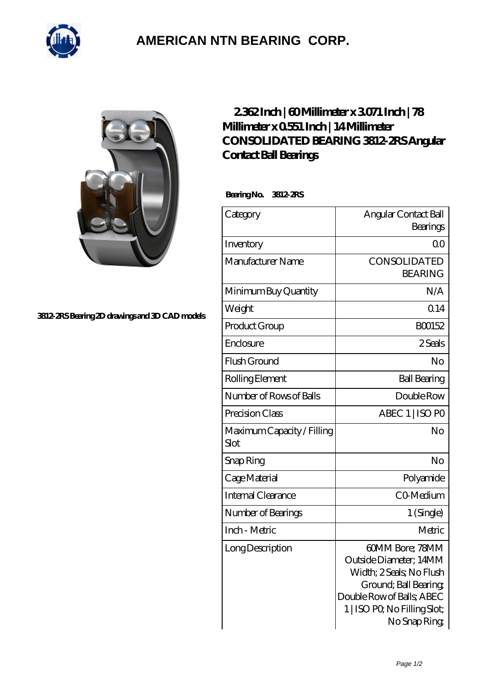

## **[AMERICAN NTN BEARING CORP.](https://all-about-hang-gliding.com)**



## **[3812-2RS Bearing 2D drawings and 3D CAD models](https://all-about-hang-gliding.com/pic-189910.html)**

## **[2.362 Inch | 60 Millimeter x 3.071 Inch | 78](https://all-about-hang-gliding.com/be-189910-consolidated-bearing-3812-2rs-angular-contact-ball-bearings.html) [Millimeter x 0.551 Inch | 14 Millimeter](https://all-about-hang-gliding.com/be-189910-consolidated-bearing-3812-2rs-angular-contact-ball-bearings.html) [CONSOLIDATED BEARING 3812-2RS Angular](https://all-about-hang-gliding.com/be-189910-consolidated-bearing-3812-2rs-angular-contact-ball-bearings.html) [Contact Ball Bearings](https://all-about-hang-gliding.com/be-189910-consolidated-bearing-3812-2rs-angular-contact-ball-bearings.html)**

 **Bearing No. 3812-2RS**

| Category                           | Angular Contact Ball<br>Bearings                                                                                                                                            |
|------------------------------------|-----------------------------------------------------------------------------------------------------------------------------------------------------------------------------|
| Inventory                          | 0 <sub>0</sub>                                                                                                                                                              |
| Manufacturer Name                  | CONSOLIDATED<br><b>BEARING</b>                                                                                                                                              |
| Minimum Buy Quantity               | N/A                                                                                                                                                                         |
| Weight                             | 0.14                                                                                                                                                                        |
| Product Group                      | BO0152                                                                                                                                                                      |
| Enclosure                          | 2 Seals                                                                                                                                                                     |
| Flush Ground                       | No                                                                                                                                                                          |
| Rolling Element                    | <b>Ball Bearing</b>                                                                                                                                                         |
| Number of Rows of Balls            | Double Row                                                                                                                                                                  |
| Precision Class                    | ABEC 1   ISO PO                                                                                                                                                             |
| Maximum Capacity / Filling<br>Slot | No                                                                                                                                                                          |
| Snap Ring                          | No                                                                                                                                                                          |
| Cage Material                      | Polyamide                                                                                                                                                                   |
| Internal Clearance                 | CO-Medium                                                                                                                                                                   |
| Number of Bearings                 | 1 (Single)                                                                                                                                                                  |
| Inch - Metric                      | Metric                                                                                                                                                                      |
| Long Description                   | 60MM Bore; 78MM<br>Outside Diameter; 14MM<br>Width; 2 Seals; No Flush<br>Ground; Ball Bearing;<br>Double Row of Balls, ABEC<br>1   ISO PO, No Filling Slot;<br>No Snap Ring |